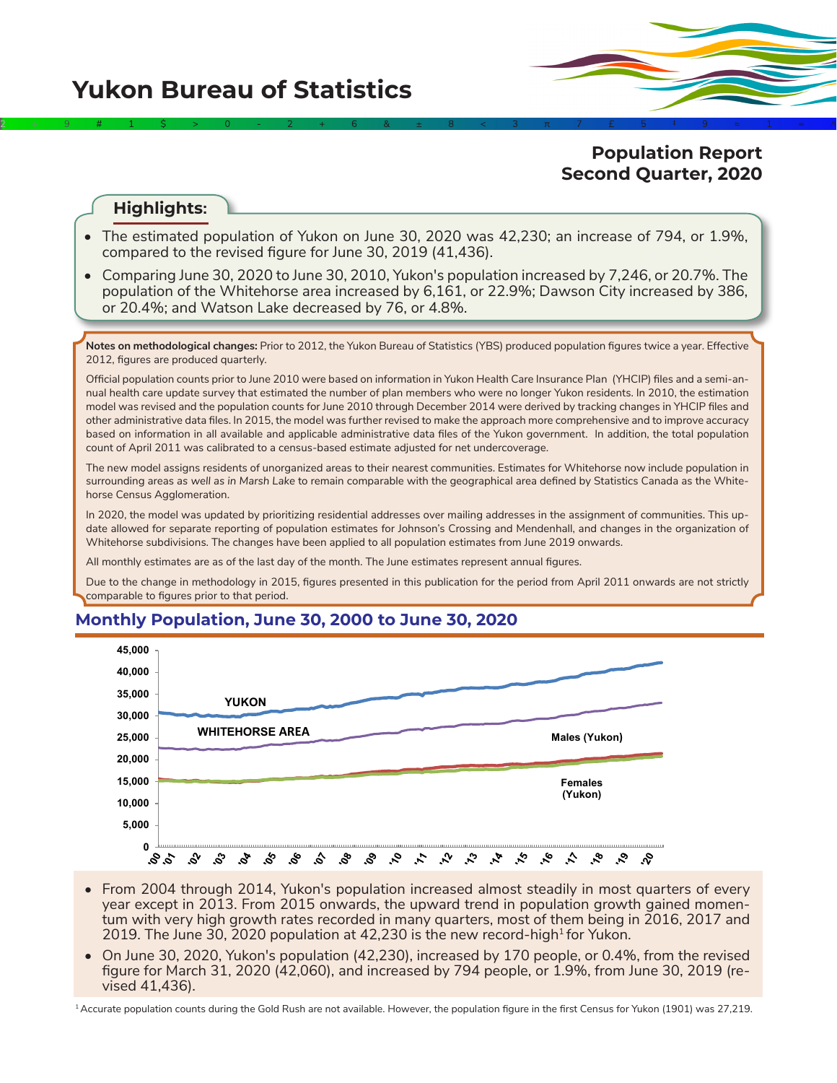

# **Population Report Second Quarter, 2020**

# **Highlights:**

- The estimated population of Yukon on June 30, 2020 was 42,230; an increase of 794, or 1.9%, compared to the revised figure for June 30, 2019 (41,436).
- Comparing June 30, 2020 to June 30, 2010, Yukon's population increased by 7,246, or 20.7%. The population of the Whitehorse area increased by 6,161, or 22.9%; Dawson City increased by 386, or 20.4%; and Watson Lake decreased by 76, or 4.8%.

**Notes on methodological changes:** Prior to 2012, the Yukon Bureau of Statistics (YBS) produced population figures twice a year. Effective 2012, figures are produced quarterly.

Official population counts prior to June 2010 were based on information in Yukon Health Care Insurance Plan (YHCIP) files and a semi-annual health care update survey that estimated the number of plan members who were no longer Yukon residents. In 2010, the estimation model was revised and the population counts for June 2010 through December 2014 were derived by tracking changes in YHCIP files and other administrative data files. In 2015, the model was further revised to make the approach more comprehensive and to improve accuracy based on information in all available and applicable administrative data files of the Yukon government. In addition, the total population count of April 2011 was calibrated to a census-based estimate adjusted for net undercoverage.

The new model assigns residents of unorganized areas to their nearest communities. Estimates for Whitehorse now include population in surrounding areas *as well as in Marsh Lake* to remain comparable with the geographical area defined by Statistics Canada as the Whitehorse Census Agglomeration.

In 2020, the model was updated by prioritizing residential addresses over mailing addresses in the assignment of communities. This update allowed for separate reporting of population estimates for Johnson's Crossing and Mendenhall, and changes in the organization of Whitehorse subdivisions. The changes have been applied to all population estimates from June 2019 onwards.

All monthly estimates are as of the last day of the month. The June estimates represent annual figures.

Due to the change in methodology in 2015, figures presented in this publication for the period from April 2011 onwards are not strictly comparable to figures prior to that period.

# **Monthly Population, June 30, 2000 to June 30, 2020**



- From 2004 through 2014, Yukon's population increased almost steadily in most quarters of every year except in 2013. From 2015 onwards, the upward trend in population growth gained momentum with very high growth rates recorded in many quarters, most of them being in 2016, 2017 and 2019. The June 30, 2020 population at 42,230 is the new record-high for Yukon.
- On June 30, 2020, Yukon's population (42,230), increased by 170 people, or 0.4%, from the revised figure for March 31, 2020 (42,060), and increased by 794 people, or 1.9%, from June 30, 2019 (revised 41,436).

<sup>1</sup> Accurate population counts during the Gold Rush are not available. However, the population figure in the first Census for Yukon (1901) was 27,219.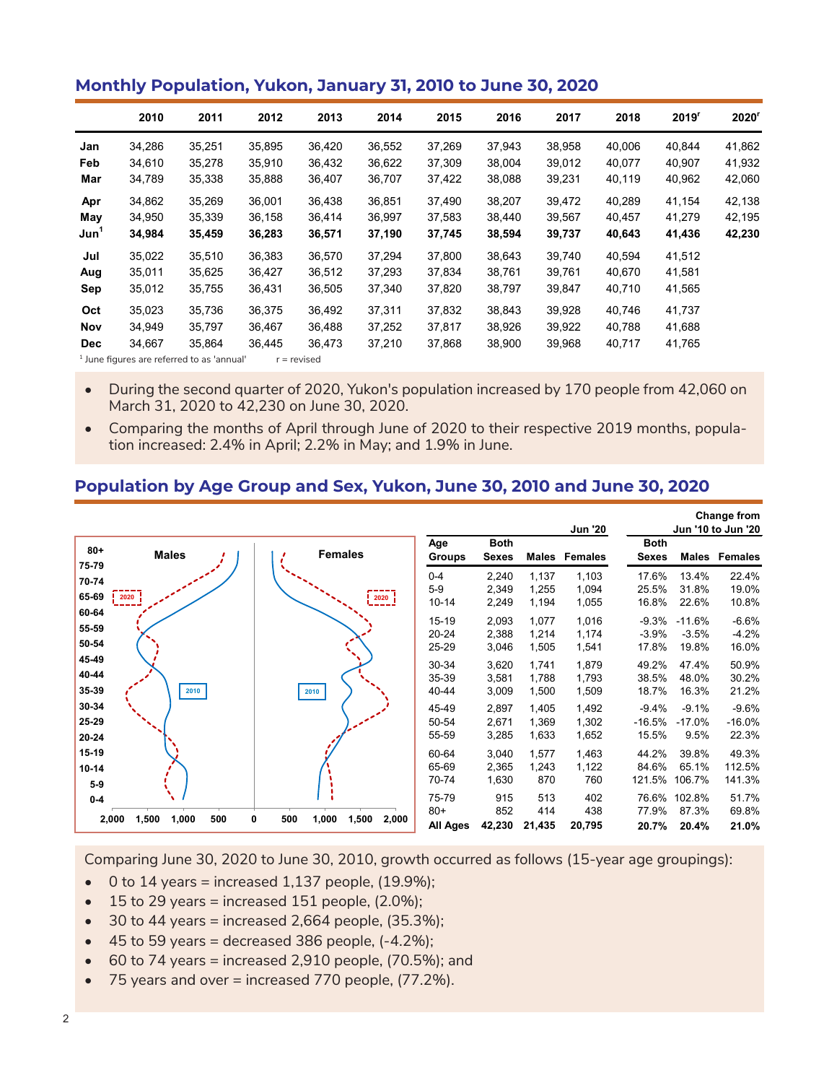#### **Monthly Population, Yukon, January 31, 2010 to June 30, 2020**

|                  | 2010                                                  | 2011   | 2012   | 2013          | 2014   | 2015   | 2016   | 2017   | 2018   | 2019 <sup>r</sup> | 2020 <sup>r</sup> |
|------------------|-------------------------------------------------------|--------|--------|---------------|--------|--------|--------|--------|--------|-------------------|-------------------|
| Jan              | 34,286                                                | 35,251 | 35,895 | 36,420        | 36,552 | 37,269 | 37,943 | 38,958 | 40,006 | 40,844            | 41,862            |
| Feb              | 34,610                                                | 35,278 | 35,910 | 36,432        | 36,622 | 37,309 | 38,004 | 39,012 | 40,077 | 40.907            | 41,932            |
| Mar              | 34,789                                                | 35,338 | 35,888 | 36,407        | 36,707 | 37,422 | 38,088 | 39,231 | 40,119 | 40,962            | 42,060            |
| Apr              | 34,862                                                | 35,269 | 36,001 | 36,438        | 36,851 | 37,490 | 38,207 | 39,472 | 40,289 | 41,154            | 42,138            |
| May              | 34,950                                                | 35,339 | 36,158 | 36,414        | 36,997 | 37,583 | 38,440 | 39,567 | 40,457 | 41,279            | 42,195            |
| Jun <sup>1</sup> | 34,984                                                | 35,459 | 36,283 | 36,571        | 37,190 | 37,745 | 38,594 | 39,737 | 40,643 | 41,436            | 42,230            |
| Jul              | 35,022                                                | 35,510 | 36,383 | 36,570        | 37.294 | 37.800 | 38,643 | 39,740 | 40,594 | 41,512            |                   |
| Aug              | 35,011                                                | 35,625 | 36,427 | 36,512        | 37,293 | 37,834 | 38,761 | 39,761 | 40,670 | 41,581            |                   |
| Sep              | 35,012                                                | 35,755 | 36,431 | 36,505        | 37,340 | 37,820 | 38,797 | 39,847 | 40,710 | 41,565            |                   |
| Oct              | 35,023                                                | 35,736 | 36,375 | 36,492        | 37.311 | 37,832 | 38,843 | 39,928 | 40,746 | 41,737            |                   |
| Nov              | 34,949                                                | 35.797 | 36,467 | 36,488        | 37,252 | 37,817 | 38,926 | 39,922 | 40,788 | 41,688            |                   |
| <b>Dec</b>       | 34,667                                                | 35,864 | 36,445 | 36,473        | 37,210 | 37,868 | 38,900 | 39,968 | 40,717 | 41,765            |                   |
|                  | <sup>1</sup> June figures are referred to as 'annual' |        |        | $r =$ revised |        |        |        |        |        |                   |                   |

• During the second quarter of 2020, Yukon's population increased by 170 people from 42,060 on March 31, 2020 to 42,230 on June 30, 2020.

• Comparing the months of April through June of 2020 to their respective 2019 months, population increased: 2.4% in April; 2.2% in May; and 1.9% in June.

# **Population by Age Group and Sex, Yukon, June 30, 2010 and June 30, 2020**

|                             |                                |                                     |                                   |                             |                         | <b>Jun '20</b>          |                              |                                | <b>Change from</b><br>Jun '10 to Jun '20 |
|-----------------------------|--------------------------------|-------------------------------------|-----------------------------------|-----------------------------|-------------------------|-------------------------|------------------------------|--------------------------------|------------------------------------------|
| $80 +$<br>75-79             | <b>Males</b>                   | <b>Females</b>                      | Age<br><b>Groups</b>              | <b>Both</b><br><b>Sexes</b> |                         | Males Females           | <b>Both</b><br><b>Sexes</b>  | Males                          | <b>Females</b>                           |
| 70-74<br>65-69              | $\frac{1}{2020}$               | $\frac{1}{2020}$                    | $0 - 4$<br>$5-9$<br>$10 - 14$     | 2,240<br>2,349<br>2,249     | 1,137<br>1,255<br>1,194 | 1,103<br>1,094<br>1,055 | 17.6%<br>25.5%<br>16.8%      | 13.4%<br>31.8%<br>22.6%        | 22.4%<br>19.0%<br>10.8%                  |
| 60-64<br>55-59<br>50-54     |                                |                                     | $15 - 19$<br>20-24<br>25-29       | 2,093<br>2,388<br>3,046     | 1,077<br>1,214<br>1,505 | 1,016<br>1,174<br>1,541 | $-9.3%$<br>$-3.9%$<br>17.8%  | $-11.6%$<br>$-3.5%$<br>19.8%   | $-6.6%$<br>$-4.2%$<br>16.0%              |
| 45-49<br>40-44<br>35-39     | 2010                           | 2010                                | 30-34<br>35-39<br>40-44           | 3,620<br>3,581<br>3,009     | 1,741<br>1,788<br>1,500 | 1,879<br>1,793<br>1,509 | 49.2%<br>38.5%<br>18.7%      | 47.4%<br>48.0%<br>16.3%        | 50.9%<br>30.2%<br>21.2%                  |
| 30-34<br>25-29<br>20-24     |                                |                                     | 45-49<br>50-54<br>55-59           | 2,897<br>2,671<br>3,285     | 1,405<br>1,369<br>1,633 | 1,492<br>1,302<br>1,652 | $-9.4%$<br>$-16.5%$<br>15.5% | $-9.1%$<br>$-17.0%$<br>9.5%    | $-9.6%$<br>$-16.0%$<br>22.3%             |
| 15-19<br>$10 - 14$<br>$5-9$ |                                |                                     | 60-64<br>65-69<br>70-74           | 3,040<br>2,365<br>1,630     | 1,577<br>1,243<br>870   | 1,463<br>1,122<br>760   | 44.2%<br>84.6%<br>121.5%     | 39.8%<br>65.1%<br>106.7%       | 49.3%<br>112.5%<br>141.3%                |
| $0-4$                       | 500<br>1,500<br>1,000<br>2,000 | 0<br>500<br>1,000<br>1,500<br>2,000 | 75-79<br>$80+$<br><b>All Ages</b> | 915<br>852<br>42,230        | 513<br>414<br>21,435    | 402<br>438<br>20,795    | 77.9%<br>20.7%               | 76.6% 102.8%<br>87.3%<br>20.4% | 51.7%<br>69.8%<br>21.0%                  |

Comparing June 30, 2020 to June 30, 2010, growth occurred as follows (15-year age groupings):

- $\bullet$  0 to 14 years = increased 1,137 people, (19.9%);
- $\bullet$  15 to 29 years = increased 151 people, (2.0%);
- $\bullet$  30 to 44 years = increased 2,664 people, (35.3%);
- $\bullet$  45 to 59 years = decreased 386 people,  $(-4.2\%)$ ;
- $\bullet$  60 to 74 years = increased 2,910 people, (70.5%); and
- 75 years and over = increased 770 people, (77.2%).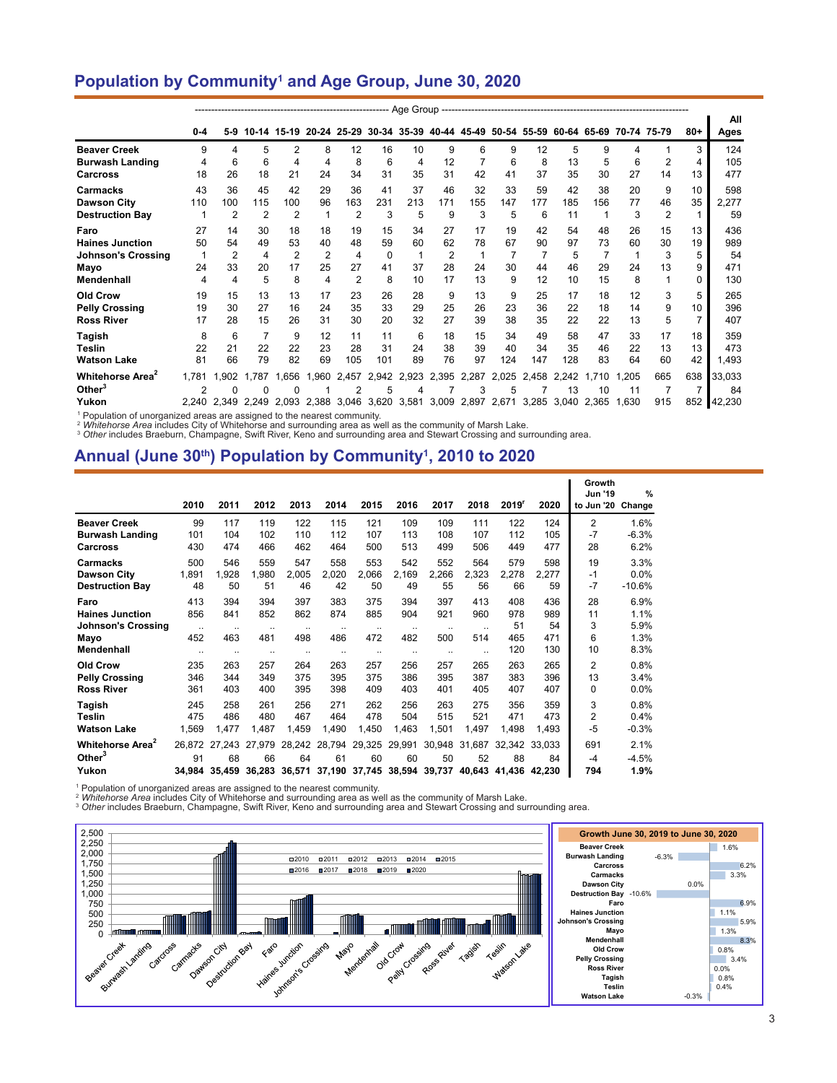### **Population by Community1 and Age Group, June 30, 2020**

|                              | $0 - 4$ | 5-9   |       |                |                |       |          |       |       |             |                | 10-14 15-19 20-24 25-29 30-34 35-39 40-44 45-49 50-54 55-59 60-64 65-69 70-74 75-79 |       |       |       |     | $80 +$ | All<br>Ages |
|------------------------------|---------|-------|-------|----------------|----------------|-------|----------|-------|-------|-------------|----------------|-------------------------------------------------------------------------------------|-------|-------|-------|-----|--------|-------------|
| <b>Beaver Creek</b>          | 9       | 4     | 5     | $\overline{2}$ | 8              | 12    | 16       | 10    | 9     | 6           | 9              | 12                                                                                  | 5     | 9     | 4     |     | 3      | 124         |
| <b>Burwash Landing</b>       | 4       | 6     | 6     | 4              | 4              | 8     | 6        | 4     | 12    |             | 6              | 8                                                                                   | 13    | 5     | 6     | 2   | 4      | 105         |
| Carcross                     | 18      | 26    | 18    | 21             | 24             | 34    | 31       | 35    | 31    | 42          | 41             | 37                                                                                  | 35    | 30    | 27    | 14  | 13     | 477         |
| Carmacks                     | 43      | 36    | 45    | 42             | 29             | 36    | 41       | 37    | 46    | 32          | 33             | 59                                                                                  | 42    | 38    | 20    | 9   | 10     | 598         |
| <b>Dawson City</b>           | 110     | 100   | 115   | 100            | 96             | 163   | 231      | 213   | 171   | 155         | 147            | 177                                                                                 | 185   | 156   | 77    | 46  | 35     | 2,277       |
| <b>Destruction Bay</b>       |         |       | 2     | 2              |                | 2     | 3        | 5     | 9     | 3           | 5              | 6                                                                                   | 11    |       | 3     | 2   |        | 59          |
| Faro                         | 27      | 14    | 30    | 18             | 18             | 19    | 15       | 34    | 27    | 17          | 19             | 42                                                                                  | 54    | 48    | 26    | 15  | 13     | 436         |
| <b>Haines Junction</b>       | 50      | 54    | 49    | 53             | 40             | 48    | 59       | 60    | 62    | 78          | 67             | 90                                                                                  | 97    | 73    | 60    | 30  | 19     | 989         |
| <b>Johnson's Crossing</b>    |         |       | 4     | $\overline{2}$ | $\overline{2}$ | 4     | $\Omega$ | 1     | 2     |             | $\overline{7}$ |                                                                                     | 5     |       |       | 3   |        | 54          |
| Mayo                         | 24      | 33    | 20    | 17             | 25             | 27    | 41       | 37    | 28    | 24          | 30             | 44                                                                                  | 46    | 29    | 24    | 13  | 9      | 471         |
| <b>Mendenhall</b>            | 4       | 4     | 5     | 8              | 4              | 2     | 8        | 10    | 17    | 13          | 9              | 12                                                                                  | 10    | 15    | 8     |     |        | 130         |
| <b>Old Crow</b>              | 19      | 15    | 13    | 13             | 17             | 23    | 26       | 28    | 9     | 13          | 9              | 25                                                                                  | 17    | 18    | 12    | 3   | 5      | 265         |
| <b>Pelly Crossing</b>        | 19      | 30    | 27    | 16             | 24             | 35    | 33       | 29    | 25    | 26          | 23             | 36                                                                                  | 22    | 18    | 14    | 9   | 10     | 396         |
| <b>Ross River</b>            | 17      | 28    | 15    | 26             | 31             | 30    | 20       | 32    | 27    | 39          | 38             | 35                                                                                  | 22    | 22    | 13    | 5   |        | 407         |
| Tagish                       | 8       | 6     | 7     | 9              | 12             | 11    | 11       | 6     | 18    | 15          | 34             | 49                                                                                  | 58    | 47    | 33    | 17  | 18     | 359         |
| <b>Teslin</b>                | 22      | 21    | 22    | 22             | 23             | 28    | 31       | 24    | 38    | 39          | 40             | 34                                                                                  | 35    | 46    | 22    | 13  | 13     | 473         |
| <b>Watson Lake</b>           | 81      | 66    | 79    | 82             | 69             | 105   | 101      | 89    | 76    | 97          | 124            | 147                                                                                 | 128   | 83    | 64    | 60  | 42     | ,493        |
| Whitehorse Area <sup>2</sup> | 1.781   | 1.902 | 1.787 | .656           | 1.960          | 2.457 | 2.942    | 2.923 | 2,395 | 2.287       | 2.025          | 2.458                                                                               | 2.242 | 1.710 | .205  | 665 | 638    | 33.033      |
| Other $3$                    | 2       | 0     | 0     | 0              |                | 2     | 5        | 4     |       | 3           | 5              |                                                                                     | 13    | 10    | 11    |     |        | 84          |
| Yukon                        | 2.240   | 2.349 | 2.249 | 2.093          | 2.388          | 3.046 | 3,620    | 3,581 | 3,009 | 2,897 2,671 |                | 3.285                                                                               | 3.040 | 2.365 | 1.630 | 915 | 852    | 42.230      |

<sup>1</sup> Population of unorganized areas are assigned to the nearest community.

<sup>2</sup> Whitehorse Area includes City of Whitehorse and surrounding area as well as the community of Marsh Lake.<br><sup>3</sup> Other includes Braeburn, Champagne, Swift River, Keno and surrounding area and Stewart Crossing and surroundi

#### **Annual (June 30th) Population by Community1 , 2010 to 2020**

|                                                    | 2010         | 2011                          | 2012         | 2013                | 2014                | 2015                                        | 2016         | 2017         | 2018                 | 2019 <sup>r</sup>             | 2020                   | Growth<br><b>Jun '19</b><br>to Jun '20 | $\frac{9}{6}$<br>Change |
|----------------------------------------------------|--------------|-------------------------------|--------------|---------------------|---------------------|---------------------------------------------|--------------|--------------|----------------------|-------------------------------|------------------------|----------------------------------------|-------------------------|
| <b>Beaver Creek</b>                                | 99           | 117                           | 119          | 122                 | 115                 | 121                                         | 109          | 109          | 111                  | 122                           | 124                    | $\overline{2}$                         | 1.6%                    |
| <b>Burwash Landing</b>                             | 101          | 104                           | 102          | 110                 | 112                 | 107                                         | 113          | 108          | 107                  | 112                           | 105                    | $-7$                                   | $-6.3%$                 |
| <b>Carcross</b>                                    | 430          | 474                           | 466          | 462                 | 464                 | 500                                         | 513          | 499          | 506                  | 449                           | 477                    | 28                                     | 6.2%                    |
| Carmacks                                           | 500          | 546                           | 559          | 547                 | 558                 | 553                                         | 542          | 552          | 564                  | 579                           | 598                    | 19                                     | 3.3%                    |
| <b>Dawson City</b>                                 | 1,891        | 1,928                         | 1.980        | 2,005               | 2,020               | 2,066                                       | 2,169        | 2,266        | 2,323                | 2,278                         | 2,277                  | $-1$                                   | 0.0%                    |
| <b>Destruction Bay</b>                             | 48           | 50                            | 51           | 46                  | 42                  | 50                                          | 49           | 55           | 56                   | 66                            | 59                     | $-7$                                   | $-10.6%$                |
| Faro                                               | 413          | 394                           | 394          | 397                 | 383                 | 375                                         | 394          | 397          | 413                  | 408                           | 436                    | 28                                     | 6.9%                    |
| <b>Haines Junction</b>                             | 856          | 841                           | 852          | 862                 | 874                 | 885                                         | 904          | 921          | 960                  | 978                           | 989                    | 11                                     | 1.1%                    |
| <b>Johnson's Crossing</b>                          | $\ddotsc$    | $\ddotsc$                     | $\ddotsc$    | $\ddotsc$           | $\ddotsc$           | $\ddotsc$                                   | $\ddotsc$    | $\ddotsc$    | $\ddot{\phantom{a}}$ | 51                            | 54                     | 3                                      | 5.9%                    |
| Mayo                                               | 452          | 463                           | 481          | 498                 | 486                 | 472                                         | 482          | 500          | 514                  | 465                           | 471                    | 6                                      | 1.3%                    |
| Mendenhall                                         | $\ddotsc$    | $\ddotsc$                     | $\ddotsc$    | $\ddotsc$           | $\ddotsc$           | $\ddotsc$                                   | $\cdot$ .    | $\ddotsc$    | $\ddotsc$            | 120                           | 130                    | 10                                     | 8.3%                    |
| <b>Old Crow</b>                                    | 235          | 263                           | 257          | 264                 | 263                 | 257                                         | 256          | 257          | 265                  | 263                           | 265                    | $\overline{2}$                         | 0.8%                    |
| <b>Pelly Crossing</b>                              | 346          | 344                           | 349          | 375                 | 395                 | 375                                         | 386          | 395          | 387                  | 383                           | 396                    | 13                                     | 3.4%                    |
| <b>Ross River</b>                                  | 361          | 403                           | 400          | 395                 | 398                 | 409                                         | 403          | 401          | 405                  | 407                           | 407                    | $\Omega$                               | 0.0%                    |
| Tagish                                             | 245          | 258                           | 261          | 256                 | 271                 | 262                                         | 256          | 263          | 275                  | 356                           | 359                    | 3                                      | 0.8%                    |
| Teslin                                             | 475          | 486                           | 480          | 467                 | 464                 | 478                                         | 504          | 515          | 521                  | 471                           | 473                    | $\overline{2}$                         | 0.4%                    |
| <b>Watson Lake</b>                                 | 1,569        | 1,477                         | 1,487        | 1,459               | 1,490               | 1,450                                       | 1,463        | 1,501        | 1,497                | 1,498                         | 1,493                  | $-5$                                   | -0.3%                   |
| Whitehorse Area <sup>2</sup><br>Other $3$<br>Yukon | 26.872<br>91 | 27.243<br>68<br>34,984 35,459 | 27.979<br>66 | 64<br>36,283 36,571 | 28.242 28.794<br>61 | 29,325<br>60<br>37,190 37,745 38,594 39,737 | 29,991<br>60 | 30.948<br>50 | 31.687<br>52         | 32.342<br>88<br>40,643 41,436 | 33.033<br>84<br>42,230 | 691<br>$-4$<br>794                     | 2.1%<br>$-4.5%$<br>1.9% |

<sup>1</sup> Population of unorganized areas are assigned to the nearest community.<br><sup>2</sup> *Whitehorse Area* includes City of Whitehorse and surrounding area as well as the community of Marsh Lake.<br><sup>3</sup> *Other* includes Braeburn, Champ

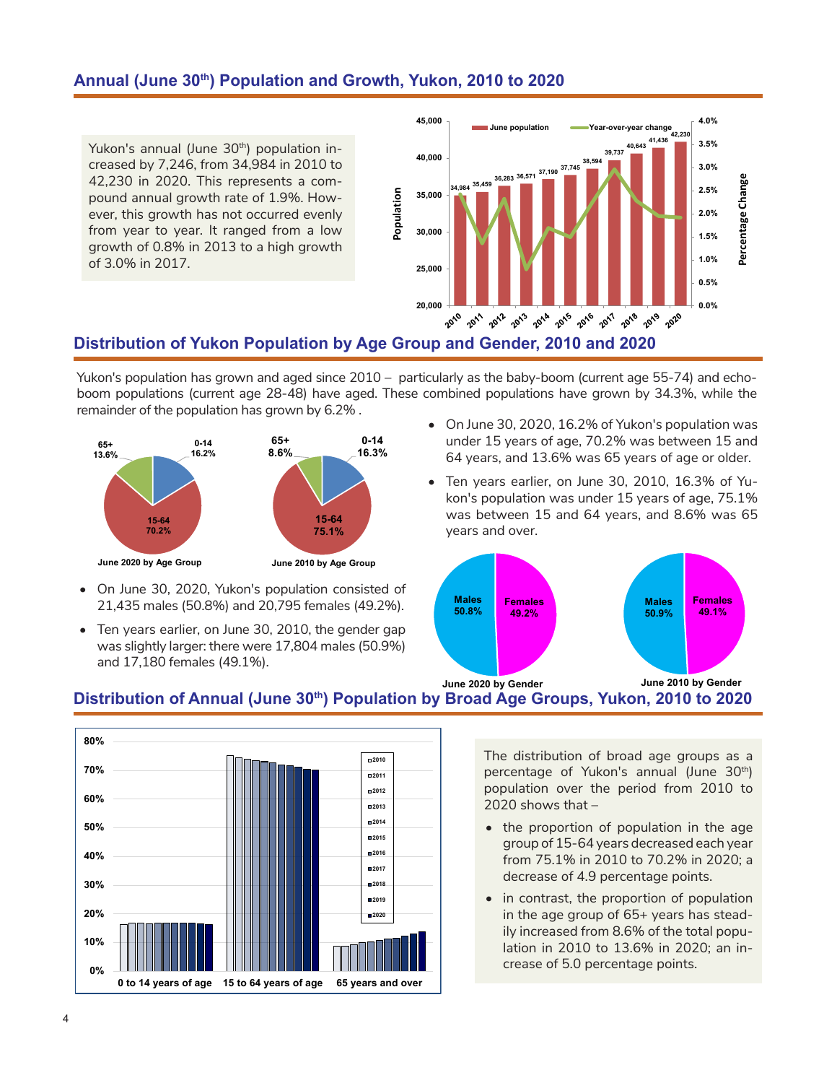#### **Annual (June 30th) Population and Growth, Yukon, 2010 to 2020**

Yukon's annual (June 30<sup>th</sup>) population increased by 7,246, from 34,984 in 2010 to 42,230 in 2020. This represents a compound annual growth rate of 1.9%. However, this growth has not occurred evenly from year to year. It ranged from a low growth of 0.8% in 2013 to a high growth of 3.0% in 2017.



# **Distribution of Yukon Population by Age Group and Gender, 2010 and 2020**

Yukon's population has grown and aged since 2010 – particularly as the baby-boom (current age 55-74) and echoboom populations (current age 28-48) have aged. These combined populations have grown by 34.3%, while the remainder of the population has grown by 6.2% .



- On June 30, 2020, Yukon's population consisted of 21,435 males (50.8%) and 20,795 females (49.2%).
- Ten years earlier, on June 30, 2010, the gender gap was slightly larger: there were 17,804 males (50.9%) and 17,180 females (49.1%).
- On June 30, 2020, 16.2% of Yukon's population was under 15 years of age, 70.2% was between 15 and 64 years, and 13.6% was 65 years of age or older.
- Ten years earlier, on June 30, 2010, 16.3% of Yukon's population was under 15 years of age, 75.1% was between 15 and 64 years, and 8.6% was 65 years and over.



# **Distribution of Annual (June 30th) Population by Broad Age Groups, Yukon, 2010 to 2020**



The distribution of broad age groups as a percentage of Yukon's annual (June 30<sup>th</sup>) population over the period from 2010 to 2020 shows that –

- the proportion of population in the age group of 15-64 years decreased each year from 75.1% in 2010 to 70.2% in 2020; a decrease of 4.9 percentage points.
- in contrast, the proportion of population in the age group of 65+ years has steadily increased from 8.6% of the total population in 2010 to 13.6% in 2020; an increase of 5.0 percentage points.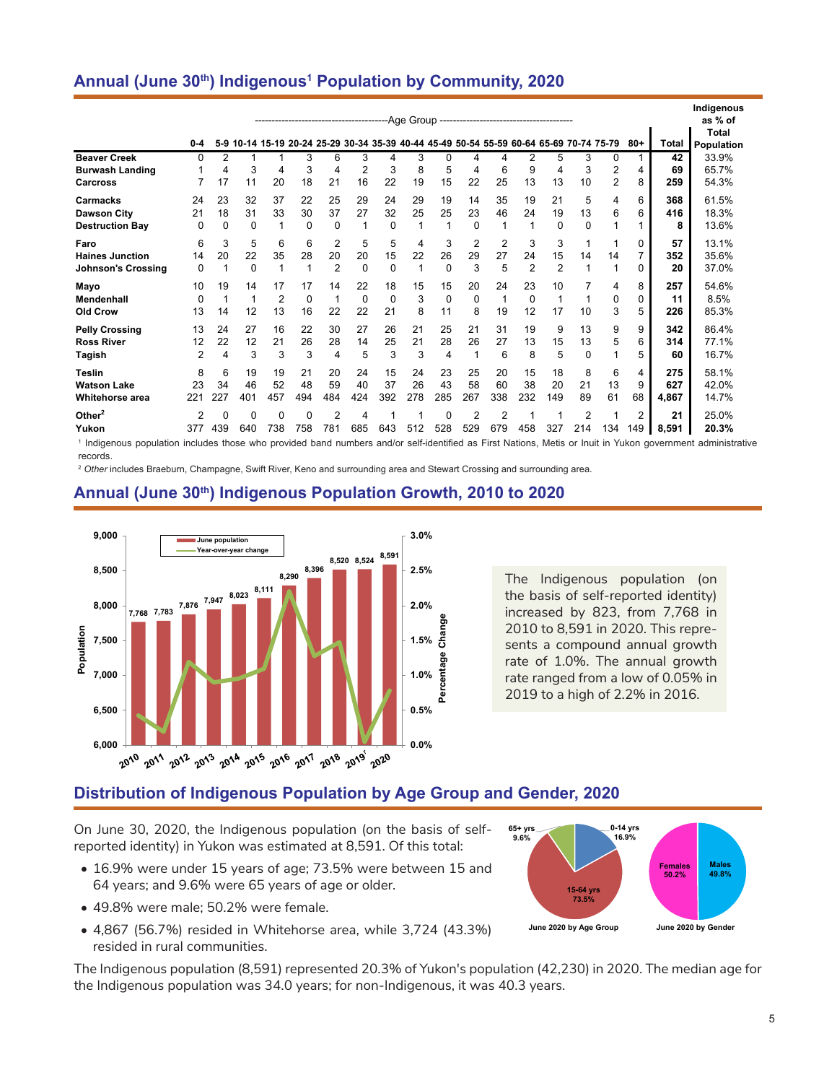# **Annual (June 30th) Indigenous1 Population by Community, 2020**

|                                                             | $0 - 4$                    |                      |                      | 5-9 10-14 15-19 20-24 25-29 30-34 35-39 40-44 45-49 50-54 55-59 60-64 65-69 70-74 75-79 |                      |                           | ----------------------------------- |                 |                         |                            |                      |                           |                           |                           |                       |                            | $80+$                 | <b>Total</b>        | Indigenous<br>as % of<br>Total<br>Population |
|-------------------------------------------------------------|----------------------------|----------------------|----------------------|-----------------------------------------------------------------------------------------|----------------------|---------------------------|-------------------------------------|-----------------|-------------------------|----------------------------|----------------------|---------------------------|---------------------------|---------------------------|-----------------------|----------------------------|-----------------------|---------------------|----------------------------------------------|
| <b>Beaver Creek</b><br><b>Burwash Landing</b>               | 0                          | $\overline{2}$<br>4  | 3                    | 4                                                                                       | 3<br>3               | 6<br>4                    | 3<br>$\overline{2}$                 | 4<br>3          | 3<br>8                  | $\Omega$<br>5              | 4<br>4               | 4<br>6                    | $\overline{2}$<br>9       | 5<br>4                    | 3<br>3                | $\Omega$<br>$\overline{2}$ | 4                     | 42<br>69            | 33.9%<br>65.7%                               |
| <b>Carcross</b>                                             |                            | 17                   | 11                   | 20                                                                                      | 18                   | 21                        | 16                                  | 22              | 19                      | 15                         | 22                   | 25                        | 13                        | 13                        | 10                    | $\overline{2}$             | 8                     | 259                 | 54.3%                                        |
| Carmacks<br><b>Dawson City</b><br><b>Destruction Bay</b>    | 24<br>21<br>0              | 23<br>18<br>$\Omega$ | 32<br>31<br>$\Omega$ | 37<br>33                                                                                | 22<br>30<br>$\Omega$ | 25<br>37<br>0             | 29<br>27<br>1                       | 24<br>32<br>0   | 29<br>25<br>1           | 19<br>25<br>1              | 14<br>23<br>$\Omega$ | 35<br>46                  | 19<br>24<br>1             | 21<br>19<br>$\Omega$      | 5<br>13<br>0          | 4<br>6                     | 6<br>6                | 368<br>416<br>8     | 61.5%<br>18.3%<br>13.6%                      |
| Faro<br><b>Haines Junction</b><br><b>Johnson's Crossing</b> | 6<br>14<br>0               | 3<br>20<br>1         | 5<br>22<br>$\Omega$  | 6<br>35<br>1                                                                            | 6<br>28              | 2<br>20<br>$\overline{2}$ | 5<br>20<br>0                        | 5<br>15<br>0    | 4<br>22<br>$\mathbf{1}$ | 3<br>26<br>$\Omega$        | 2<br>29<br>3         | $\overline{2}$<br>27<br>5 | 3<br>24<br>$\overline{2}$ | 3<br>15<br>$\overline{2}$ | 1<br>14<br>1          | 14                         | 0<br>7<br>0           | 57<br>352<br>20     | 13.1%<br>35.6%<br>37.0%                      |
| Mayo<br>Mendenhall<br>Old Crow                              | 10<br>0<br>13              | 19<br>14             | 14<br>4<br>12        | 17<br>$\overline{2}$<br>13                                                              | 17<br>$\Omega$<br>16 | 14<br>1<br>22             | 22<br>0<br>22                       | 18<br>0<br>21   | 15<br>3<br>8            | 15<br>$\Omega$<br>11       | 20<br>$\Omega$<br>8  | 24<br>19                  | 23<br>0<br>12             | 10<br>1<br>17             | 1<br>10               | 4<br>0<br>3                | 8<br>0<br>5           | 257<br>11<br>226    | 54.6%<br>8.5%<br>85.3%                       |
| <b>Pelly Crossing</b><br><b>Ross River</b><br><b>Tagish</b> | 13<br>12<br>$\overline{2}$ | 24<br>22<br>4        | 27<br>12<br>3        | 16<br>21<br>3                                                                           | 22<br>26<br>3        | 30<br>28<br>4             | 27<br>14<br>5                       | 26<br>25<br>3   | 21<br>21<br>3           | 25<br>28<br>$\overline{4}$ | 21<br>26<br>1        | 31<br>27<br>6             | 19<br>13<br>8             | 9<br>15<br>5              | 13<br>13<br>$\Omega$  | 9<br>5                     | 9<br>6<br>5           | 342<br>314<br>60    | 86.4%<br>77.1%<br>16.7%                      |
| <b>Teslin</b><br><b>Watson Lake</b><br>Whitehorse area      | 8<br>23<br>221             | 6<br>34<br>227       | 19<br>46<br>401      | 19<br>52<br>457                                                                         | 21<br>48<br>494      | 20<br>59<br>484           | 24<br>40<br>424                     | 15<br>37<br>392 | 24<br>26<br>278         | 23<br>43<br>285            | 25<br>58<br>267      | 20<br>60<br>338           | 15<br>38<br>232           | 18<br>20<br>149           | 8<br>21<br>89         | 6<br>13<br>61              | 4<br>9<br>68          | 275<br>627<br>4,867 | 58.1%<br>42.0%<br>14.7%                      |
| Other $2$<br>Yukon                                          | 2<br>377                   | $\Omega$<br>439      | $\Omega$<br>640      | $\mathbf 0$<br>738                                                                      | 0<br>758             | 2<br>781                  | 4<br>685                            | 643             | 512                     | $\Omega$<br>528            | 2<br>529             | 2<br>679                  | 458                       | 1<br>327                  | $\overline{2}$<br>214 | 134                        | $\overline{2}$<br>149 | 21<br>8,591         | 25.0%<br>20.3%                               |

1 Indigenous population includes those who provided band numbers and/or self-identified as First Nations, Metis or Inuit in Yukon government administrative records.

<sup>2</sup> *Other* includes Braeburn, Champagne, Swift River, Keno and surrounding area and Stewart Crossing and surrounding area.

#### **Annual (June 30th) Indigenous Population Growth, 2010 to 2020**



The Indigenous population (on the basis of self-reported identity) increased by 823, from 7,768 in 2010 to 8,591 in 2020. This represents a compound annual growth rate of 1.0%. The annual growth rate ranged from a low of 0.05% in 2019 to a high of 2.2% in 2016.

# **Distribution of Indigenous Population by Age Group and Gender, 2020**

On June 30, 2020, the Indigenous population (on the basis of selfreported identity) in Yukon was estimated at 8,591. Of this total:

- 16.9% were under 15 years of age; 73.5% were between 15 and 64 years; and 9.6% were 65 years of age or older.
- 49.8% were male; 50.2% were female.
- 4,867 (56.7%) resided in Whitehorse area, while 3,724 (43.3%) resided in rural communities.

The Indigenous population (8,591) represented 20.3% of Yukon's population (42,230) in 2020. The median age for the Indigenous population was 34.0 years; for non-Indigenous, it was 40.3 years.

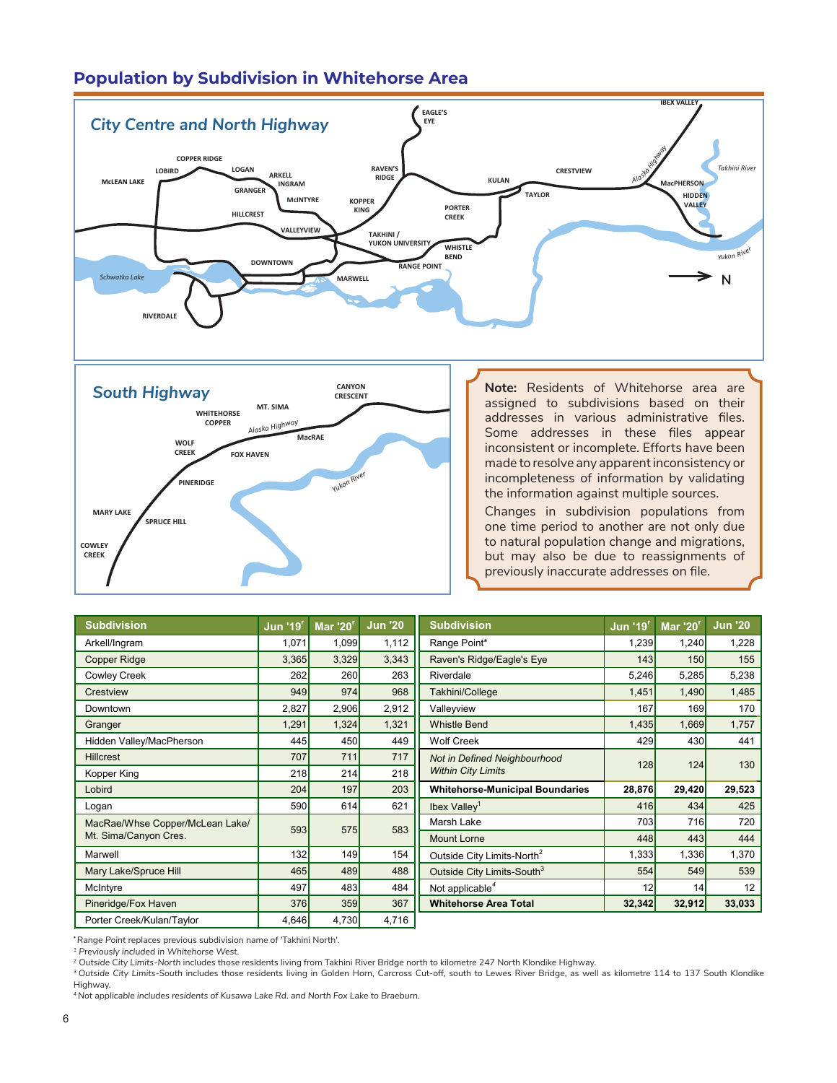# **Population by Subdivision in Whitehorse Area**





**Note:** Residents of Whitehorse area are assigned to subdivisions based on their addresses in various administrative files. Some addresses in these files appear inconsistent or incomplete. Efforts have been made to resolve any apparent inconsistency or incompleteness of information by validating the information against multiple sources. **RIVERDALE**

**GRANGER**

**TAKHINI / YUKON UNIVERSITY**

Changes in subdivision populations from one time period to another are not only due to natural population change and migrations, but may also be due to reassignments of previously inaccurate addresses on file.

| <b>Subdivision</b>              | <b>Jun '19'</b> | <b>Mar '20'</b> | <b>Jun '20</b> | <b>Subdivision</b>                     | <b>Jun '19<sup>r</sup></b> | <b>Mar '20'</b> | <b>Jun '20</b> |
|---------------------------------|-----------------|-----------------|----------------|----------------------------------------|----------------------------|-----------------|----------------|
| Arkell/Ingram                   | 1,071           | 1,099           | 1,112          | Range Point*                           | 1,239                      | 1,240           | 1,228          |
| <b>Copper Ridge</b>             | 3,365           | 3,329           | 3,343          | Raven's Ridge/Eagle's Eye              | 143                        | 150             | 155            |
| <b>Cowley Creek</b>             | 262             | <b>260</b>      | 263            | Riverdale                              | 5,246                      | 5,285           | 5,238          |
| Crestview                       | 949             | 974             | 968            | Takhini/College                        | 1,451                      | 1,490           | 1,485          |
| Downtown                        | 2,827           | 2,906           | 2,912          | Valleyview                             | 167                        | <b>169</b>      | 170            |
| Granger                         | 1,291           | 1,324           | 1,321          | <b>Whistle Bend</b>                    | 1,435                      | 1,669           | 1,757          |
| Hidden Valley/MacPherson        | 445             | 450             | 449            | <b>Wolf Creek</b>                      | 429                        | 430             | 441            |
| <b>Hillcrest</b>                | 707             | 711             | 717            | Not in Defined Neighbourhood           | 128                        | 124             | 130            |
| Kopper King                     | 218             | 214             | 218            | <b>Within City Limits</b>              |                            |                 |                |
| Lobird                          | 204             | 197             | 203            | <b>Whitehorse-Municipal Boundaries</b> | 28,876                     | 29,420          | 29,523         |
| Logan                           | 590             | 614             | 621            | Ibex Valley <sup>1</sup>               | 416                        | 434             | 425            |
| MacRae/Whse Copper/McLean Lake/ | 593             | 575             | 583            | Marsh Lake                             | 703                        | <b>716</b>      | 720            |
| Mt. Sima/Canyon Cres.           |                 |                 |                | <b>Mount Lorne</b>                     | 448                        | 443             | 444            |
| Marwell                         | 132             | 149             | 154            | Outside City Limits-North <sup>2</sup> | 1,333                      | 1,336           | 1,370          |
| Mary Lake/Spruce Hill           | 465             | 489             | 488            | Outside City Limits-South <sup>3</sup> | 554                        | 549             | 539            |
| McIntyre                        | 497             | 483             | 484            | Not applicable <sup>4</sup>            | 12                         | 14              | 12             |
| Pineridge/Fox Haven             | 376             | 359             | 367            | <b>Whitehorse Area Total</b>           | 32,342                     | 32,912          | 33,033         |
| Porter Creek/Kulan/Taylor       | 4,646           | 4,730           | 4,716          |                                        |                            |                 |                |

**\****Range Point* replaces previous subdivision name of 'Takhini North'.

*1 Previously included in Whitehorse West.*

<sup>2</sup> *Outside City Limits-North* includes those residents living from Takhini River Bridge north to kilometre 247 North Klondike Highway.

<sup>3</sup>*Outside City Limits-South* includes those residents living in Golden Horn, Carcross Cut-off, south to Lewes River Bridge, as well as kilometre 114 to 137 South Klondike Highway.

<sup>4</sup>*Not applicable includes residents of Kusawa Lake Rd. and North Fox Lake to Braeburn.*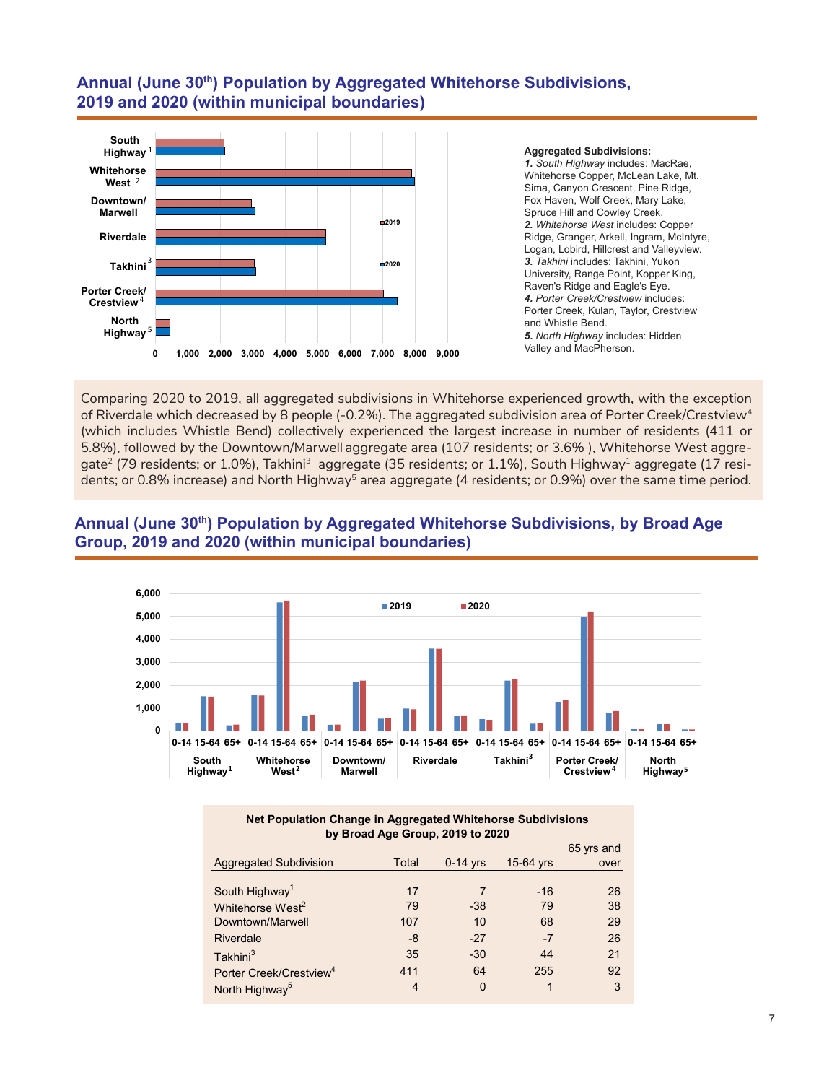# **Annual (June 30th) Population by Aggregated Whitehorse Subdivisions, 2019 and 2020 (within municipal boundaries)**



#### **Aggregated Subdivisions:**

*1. South Highway* includes: MacRae, Whitehorse Copper, McLean Lake, Mt. Sima, Canyon Crescent, Pine Ridge, Fox Haven, Wolf Creek, Mary Lake, Spruce Hill and Cowley Creek. *2. Whitehorse West* includes: Copper Ridge, Granger, Arkell, Ingram, McIntyre, Logan, Lobird, Hillcrest and Valleyview. *3. Takhini* includes: Takhini, Yukon University, Range Point, Kopper King, Raven's Ridge and Eagle's Eye. *4. Porter Creek/Crestview* includes: Porter Creek, Kulan, Taylor, Crestview and Whistle Bend. *5. North Highway* includes: Hidden Valley and MacPherson.

Comparing 2020 to 2019, all aggregated subdivisions in Whitehorse experienced growth, with the exception of Riverdale which decreased by 8 people (-0.2%). The aggregated subdivision area of Porter Creek/Crestview<sup>4</sup> (which includes Whistle Bend) collectively experienced the largest increase in number of residents (411 or 5.8%), followed by the Downtown/Marwell aggregate area (107 residents; or 3.6% ), Whitehorse West aggregate<sup>2</sup> (79 residents; or 1.0%), Takhini<sup>3</sup> aggregate (35 residents; or 1.1%), South Highway<sup>1</sup> aggregate (17 residents; or 0.8% increase) and North Highway<sup>5</sup> area aggregate (4 residents; or 0.9%) over the same time period.



# Annual (June 30<sup>th</sup>) Population by Aggregated Whitehorse Subdivisions, by Broad Age **Group, 2019 and 2020 (within municipal boundaries)**

| Net Population Change in Aggregated Whitehorse Subdivisions |  |
|-------------------------------------------------------------|--|
| by Broad Age Group, 2019 to 2020                            |  |

|                                     |       |            |           | 65 yrs and |
|-------------------------------------|-------|------------|-----------|------------|
| <b>Aggregated Subdivision</b>       | Total | $0-14$ yrs | 15-64 yrs | over       |
|                                     |       |            |           |            |
| South Highway <sup>1</sup>          | 17    |            | $-16$     | 26         |
| Whitehorse West <sup>2</sup>        | 79    | $-38$      | 79        | 38         |
| Downtown/Marwell                    | 107   | 10         | 68        | 29         |
| Riverdale                           | -8    | $-27$      | $-7$      | 26         |
| Takhini <sup>3</sup>                | 35    | $-30$      | 44        | 21         |
| Porter Creek/Crestview <sup>4</sup> | 411   | 64         | 255       | 92         |
| North Highway <sup>5</sup>          | 4     | $\Omega$   |           | 3          |